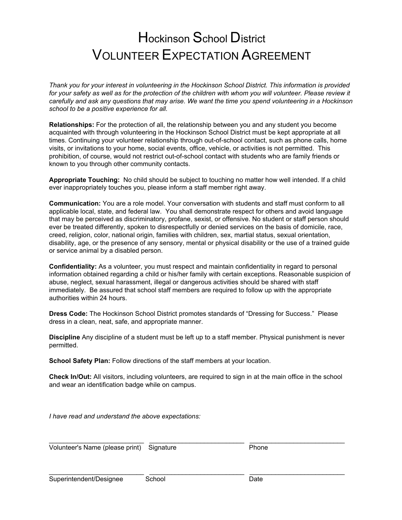## Hockinson School District VOLUNTEER EXPECTATION AGREEMENT

*Thank you for your interest in volunteering in the Hockinson School District. This information is provided*  for your safety as well as for the protection of the children with whom you will volunteer. Please review it *carefully and ask any questions that may arise. We want the time you spend volunteering in a Hockinson school to be a positive experience for all.* 

**Relationships:** For the protection of all, the relationship between you and any student you become acquainted with through volunteering in the Hockinson School District must be kept appropriate at all times. Continuing your volunteer relationship through out-of-school contact, such as phone calls, home visits, or invitations to your home, social events, office, vehicle, or activities is not permitted. This prohibition, of course, would not restrict out-of-school contact with students who are family friends or known to you through other community contacts.

**Appropriate Touching:** No child should be subject to touching no matter how well intended. If a child ever inappropriately touches you, please inform a staff member right away.

**Communication:** You are a role model. Your conversation with students and staff must conform to all applicable local, state, and federal law. You shall demonstrate respect for others and avoid language that may be perceived as discriminatory, profane, sexist, or offensive. No student or staff person should ever be treated differently, spoken to disrespectfully or denied services on the basis of domicile, race, creed, religion, color, national origin, families with children, sex, martial status, sexual orientation, disability, age, or the presence of any sensory, mental or physical disability or the use of a trained guide or service animal by a disabled person.

**Confidentiality:** As a volunteer, you must respect and maintain confidentiality in regard to personal information obtained regarding a child or his/her family with certain exceptions. Reasonable suspicion of abuse, neglect, sexual harassment, illegal or dangerous activities should be shared with staff immediately. Be assured that school staff members are required to follow up with the appropriate authorities within 24 hours.

**Dress Code:** The Hockinson School District promotes standards of "Dressing for Success." Please dress in a clean, neat, safe, and appropriate manner.

**Discipline** Any discipline of a student must be left up to a staff member. Physical punishment is never permitted.

**School Safety Plan:** Follow directions of the staff members at your location.

**Check In/Out:** All visitors, including volunteers, are required to sign in at the main office in the school and wear an identification badge while on campus.

\_\_\_\_\_\_\_\_\_\_\_\_\_\_\_\_\_\_\_\_\_\_\_\_\_\_ \_\_\_\_\_\_\_\_\_\_\_\_\_\_\_\_\_\_\_\_\_\_\_\_\_\_ \_\_\_\_\_\_\_\_\_\_\_\_\_\_\_\_\_\_\_\_\_\_\_\_\_\_

\_\_\_\_\_\_\_\_\_\_\_\_\_\_\_\_\_\_\_\_\_\_\_\_\_\_ \_\_\_\_\_\_\_\_\_\_\_\_\_\_\_\_\_\_\_\_\_\_\_\_\_\_ \_\_\_\_\_\_\_\_\_\_\_\_\_\_\_\_\_\_\_\_\_\_\_\_\_\_

*I have read and understand the above expectations:* 

Volunteer's Name (please print) Signature **Phone**